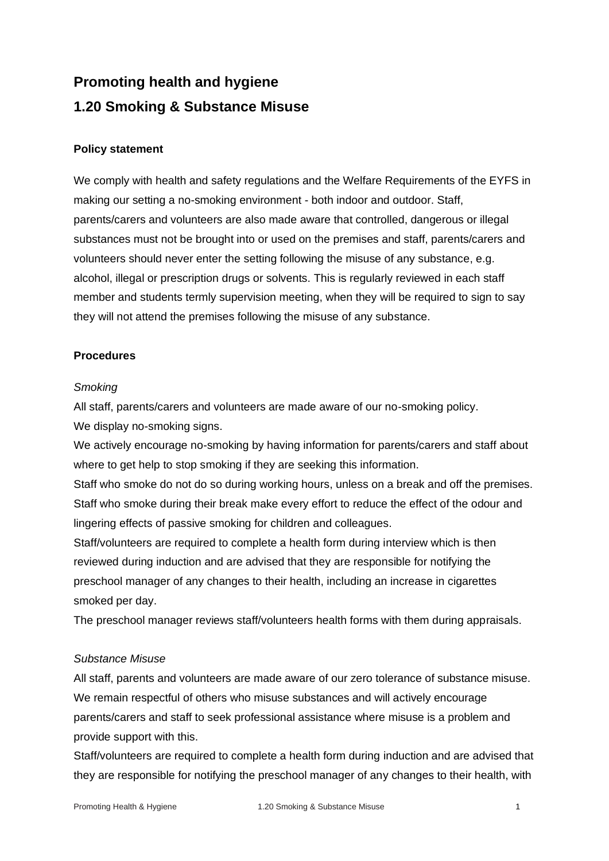# **Promoting health and hygiene 1.20 Smoking & Substance Misuse**

## **Policy statement**

We comply with health and safety regulations and the Welfare Requirements of the EYFS in making our setting a no-smoking environment - both indoor and outdoor. Staff, parents/carers and volunteers are also made aware that controlled, dangerous or illegal substances must not be brought into or used on the premises and staff, parents/carers and volunteers should never enter the setting following the misuse of any substance, e.g. alcohol, illegal or prescription drugs or solvents. This is regularly reviewed in each staff member and students termly supervision meeting, when they will be required to sign to say they will not attend the premises following the misuse of any substance.

### **Procedures**

### *Smoking*

All staff, parents/carers and volunteers are made aware of our no-smoking policy.

We display no-smoking signs.

We actively encourage no-smoking by having information for parents/carers and staff about where to get help to stop smoking if they are seeking this information.

Staff who smoke do not do so during working hours, unless on a break and off the premises. Staff who smoke during their break make every effort to reduce the effect of the odour and lingering effects of passive smoking for children and colleagues.

Staff/volunteers are required to complete a health form during interview which is then reviewed during induction and are advised that they are responsible for notifying the preschool manager of any changes to their health, including an increase in cigarettes smoked per day.

The preschool manager reviews staff/volunteers health forms with them during appraisals.

### *Substance Misuse*

All staff, parents and volunteers are made aware of our zero tolerance of substance misuse. We remain respectful of others who misuse substances and will actively encourage parents/carers and staff to seek professional assistance where misuse is a problem and provide support with this.

Staff/volunteers are required to complete a health form during induction and are advised that they are responsible for notifying the preschool manager of any changes to their health, with